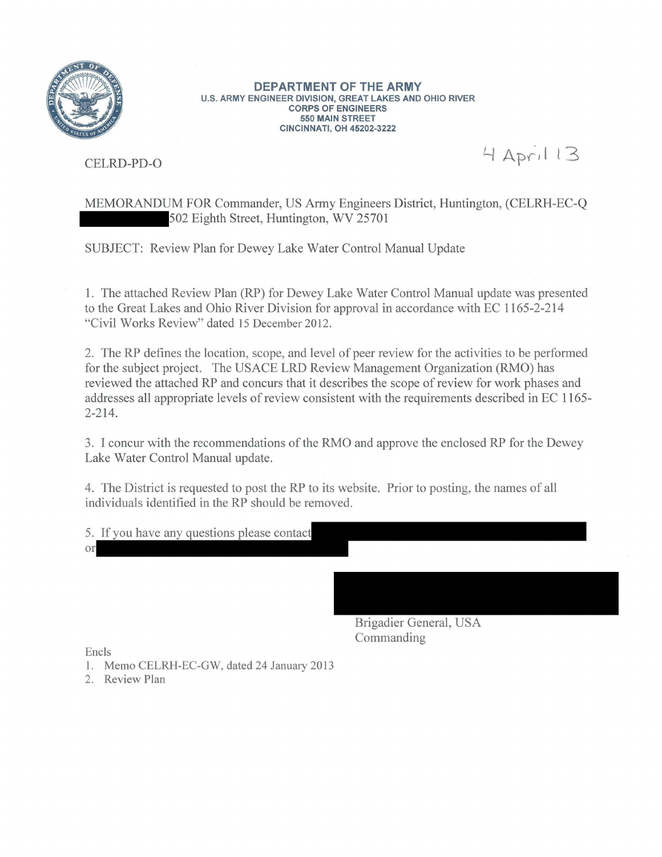

**DEPARTMENT OF THE ARMY U.S. ARMY ENGINEER DIVISION, GREAT LAKES AND OHIO RIVER CORPS OF ENGINEERS 550 MAIN STREET CINCINNATI, OH 45202-3222** 

CELRD-PD-0

4 April 13

MEMORANDUM FOR Commander, US Army Engineers District, Huntington, (CELRH-EC-Q 02 Eighth Street, Huntington, WV 25701

SUBJECT: Review Plan for Dewey Lake Water Control Manual Update

1. The attached Review Plan (RP) for Dewey Lake Water Control Manual update was presented to the Great Lakes and Ohio River Division for approval in accordance with EC 1165-2-214 "Civil Works Review" dated 15 December 2012.

2. The RP defines the location, scope, and level of peer review for the activities to be performed for the subject project. The USACE LRD Review Management Organization (RMO) has reviewed the attached RP and concurs that it describes the scope of review for work phases and addresses all appropriate levels of review consistent with the requirements described in EC 1165 2-214.

3. I concur with the recommendations of the RMO and approve the enclosed RP for the Dewey Lake Water Control Manual update.

4. The District is requested to post the RP to its website. Prior to posting, the names of all individuals identified in the RP should be removed.

5. If you have any questions please contact **or** 

> Brigadier General, USA Commanding

Encls

2. Review Plan

<sup>1.</sup> Memo CELRH-EC-GW, dated 24 January 2013